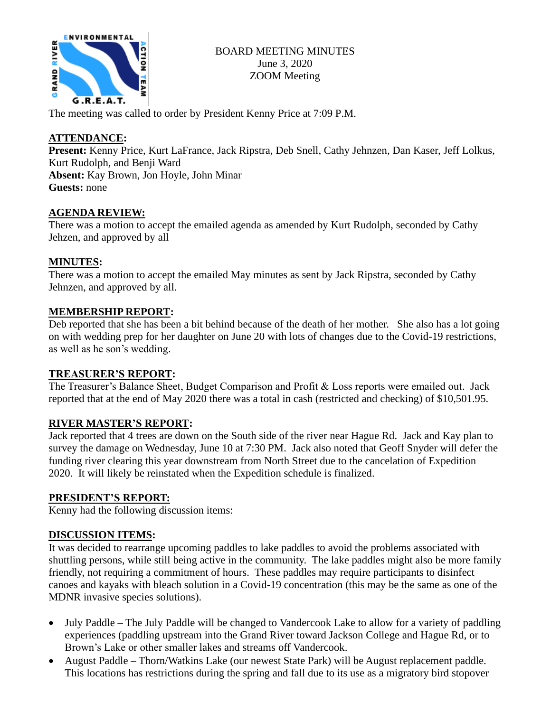

The meeting was called to order by President Kenny Price at 7:09 P.M.

## **ATTENDANCE:**

**Present:** Kenny Price, Kurt LaFrance, Jack Ripstra, Deb Snell, Cathy Jehnzen, Dan Kaser, Jeff Lolkus, Kurt Rudolph, and Benji Ward **Absent:** Kay Brown, Jon Hoyle, John Minar **Guests:** none

## **AGENDA REVIEW:**

There was a motion to accept the emailed agenda as amended by Kurt Rudolph, seconded by Cathy Jehzen, and approved by all

## **MINUTES:**

There was a motion to accept the emailed May minutes as sent by Jack Ripstra, seconded by Cathy Jehnzen, and approved by all.

#### **MEMBERSHIP REPORT:**

Deb reported that she has been a bit behind because of the death of her mother. She also has a lot going on with wedding prep for her daughter on June 20 with lots of changes due to the Covid-19 restrictions, as well as he son's wedding.

#### **TREASURER'S REPORT:**

The Treasurer's Balance Sheet, Budget Comparison and Profit & Loss reports were emailed out. Jack reported that at the end of May 2020 there was a total in cash (restricted and checking) of \$10,501.95.

#### **RIVER MASTER'S REPORT:**

Jack reported that 4 trees are down on the South side of the river near Hague Rd. Jack and Kay plan to survey the damage on Wednesday, June 10 at 7:30 PM. Jack also noted that Geoff Snyder will defer the funding river clearing this year downstream from North Street due to the cancelation of Expedition 2020. It will likely be reinstated when the Expedition schedule is finalized.

#### **PRESIDENT'S REPORT:**

Kenny had the following discussion items:

#### **DISCUSSION ITEMS:**

It was decided to rearrange upcoming paddles to lake paddles to avoid the problems associated with shuttling persons, while still being active in the community. The lake paddles might also be more family friendly, not requiring a commitment of hours. These paddles may require participants to disinfect canoes and kayaks with bleach solution in a Covid-19 concentration (this may be the same as one of the MDNR invasive species solutions).

- July Paddle The July Paddle will be changed to Vandercook Lake to allow for a variety of paddling experiences (paddling upstream into the Grand River toward Jackson College and Hague Rd, or to Brown's Lake or other smaller lakes and streams off Vandercook.
- August Paddle Thorn/Watkins Lake (our newest State Park) will be August replacement paddle. This locations has restrictions during the spring and fall due to its use as a migratory bird stopover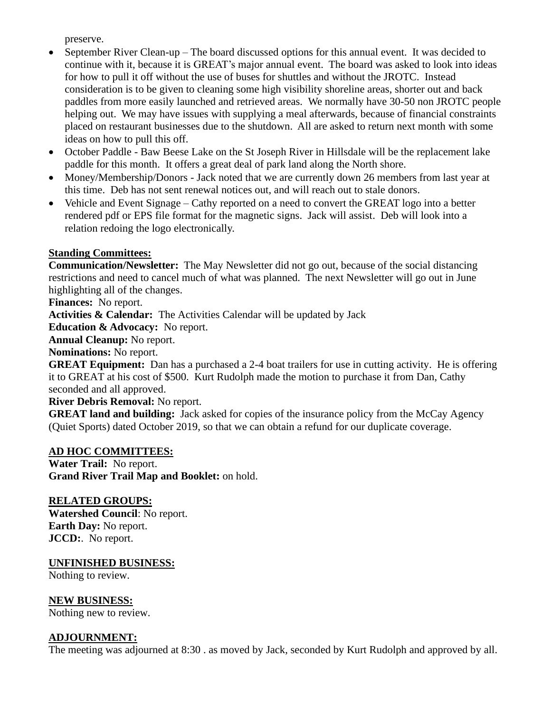preserve.

- September River Clean-up The board discussed options for this annual event. It was decided to continue with it, because it is GREAT's major annual event. The board was asked to look into ideas for how to pull it off without the use of buses for shuttles and without the JROTC. Instead consideration is to be given to cleaning some high visibility shoreline areas, shorter out and back paddles from more easily launched and retrieved areas. We normally have 30-50 non JROTC people helping out. We may have issues with supplying a meal afterwards, because of financial constraints placed on restaurant businesses due to the shutdown. All are asked to return next month with some ideas on how to pull this off.
- October Paddle Baw Beese Lake on the St Joseph River in Hillsdale will be the replacement lake paddle for this month. It offers a great deal of park land along the North shore.
- Money/Membership/Donors Jack noted that we are currently down 26 members from last year at this time. Deb has not sent renewal notices out, and will reach out to stale donors.
- Vehicle and Event Signage Cathy reported on a need to convert the GREAT logo into a better rendered pdf or EPS file format for the magnetic signs. Jack will assist. Deb will look into a relation redoing the logo electronically.

#### **Standing Committees:**

**Communication/Newsletter:** The May Newsletter did not go out, because of the social distancing restrictions and need to cancel much of what was planned. The next Newsletter will go out in June highlighting all of the changes.

**Finances:** No report.

**Activities & Calendar:** The Activities Calendar will be updated by Jack

**Education & Advocacy:** No report.

**Annual Cleanup:** No report.

**Nominations:** No report.

**GREAT Equipment:** Dan has a purchased a 2-4 boat trailers for use in cutting activity. He is offering it to GREAT at his cost of \$500. Kurt Rudolph made the motion to purchase it from Dan, Cathy seconded and all approved.

**River Debris Removal:** No report.

**GREAT land and building:** Jack asked for copies of the insurance policy from the McCay Agency (Quiet Sports) dated October 2019, so that we can obtain a refund for our duplicate coverage.

#### **AD HOC COMMITTEES:**

**Water Trail:** No report. **Grand River Trail Map and Booklet:** on hold.

# **RELATED GROUPS:**

**Watershed Council**: No report. **Earth Day:** No report. **JCCD:**. No report.

#### **UNFINISHED BUSINESS:**

Nothing to review.

#### **NEW BUSINESS:**

Nothing new to review.

#### **ADJOURNMENT:**

The meeting was adjourned at 8:30 . as moved by Jack, seconded by Kurt Rudolph and approved by all.